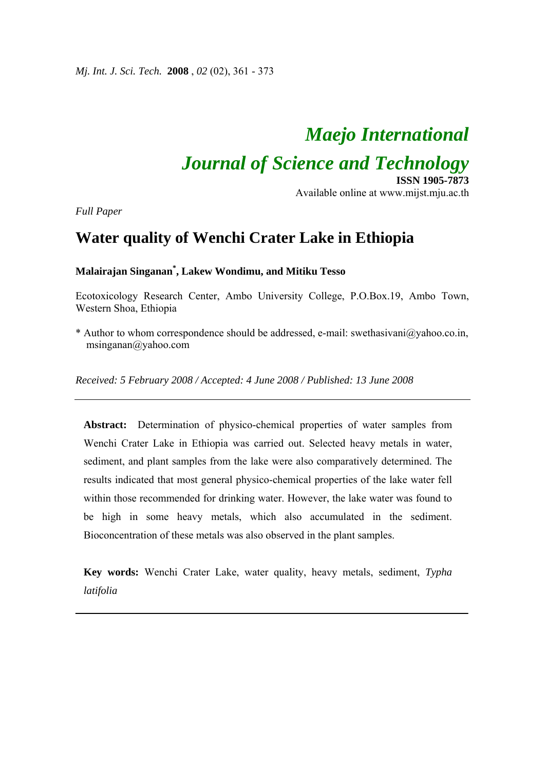*Mj. Int. J. Sci. Tech.* **2008** , *02* (02), 361 - 373

# *Maejo International*

# *Journal of Science and Technology*

**ISSN 1905-7873** Available online at www.mijst.mju.ac.th

*Full Paper* 

# **Water quality of Wenchi Crater Lake in Ethiopia**

**Malairajan Singanan\* , Lakew Wondimu, and Mitiku Tesso** 

Ecotoxicology Research Center, Ambo University College, P.O.Box.19, Ambo Town, Western Shoa, Ethiopia

\* Author to whom correspondence should be addressed, e-mail: swethasivani@yahoo.co.in, msinganan@yahoo.com

*Received: 5 February 2008 / Accepted: 4 June 2008 / Published: 13 June 2008* 

**Abstract:** Determination of physico-chemical properties of water samples from Wenchi Crater Lake in Ethiopia was carried out. Selected heavy metals in water, sediment, and plant samples from the lake were also comparatively determined. The results indicated that most general physico-chemical properties of the lake water fell within those recommended for drinking water. However, the lake water was found to be high in some heavy metals, which also accumulated in the sediment. Bioconcentration of these metals was also observed in the plant samples.

**Key words:** Wenchi Crater Lake, water quality, heavy metals, sediment, *Typha latifolia*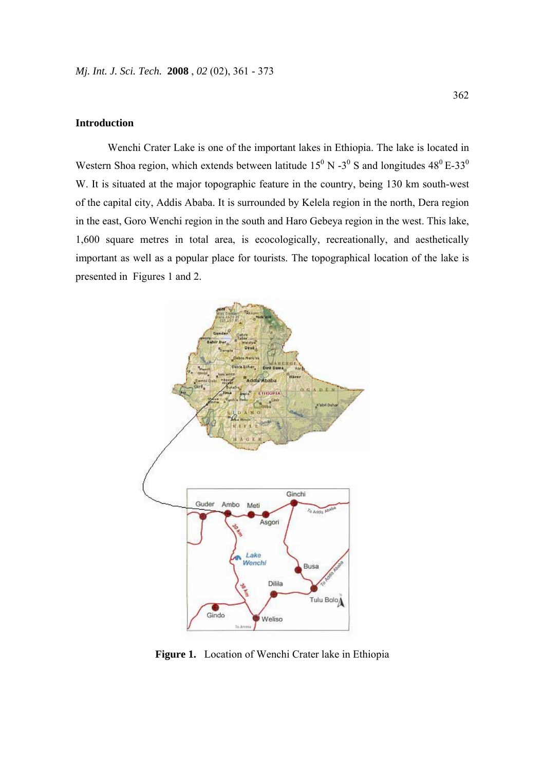# **Introduction**

Wenchi Crater Lake is one of the important lakes in Ethiopia. The lake is located in Western Shoa region, which extends between latitude  $15^{\circ}$  N -3<sup> $\circ$ </sup> S and longitudes  $48^{\circ}$  E-33<sup> $\circ$ </sup> W. It is situated at the major topographic feature in the country, being 130 km south-west of the capital city, Addis Ababa. It is surrounded by Kelela region in the north, Dera region in the east, Goro Wenchi region in the south and Haro Gebeya region in the west. This lake, 1,600 square metres in total area, is ecocologically, recreationally, and aesthetically important as well as a popular place for tourists. The topographical location of the lake is presented in Figures 1 and 2.



Figure 1. Location of Wenchi Crater lake in Ethiopia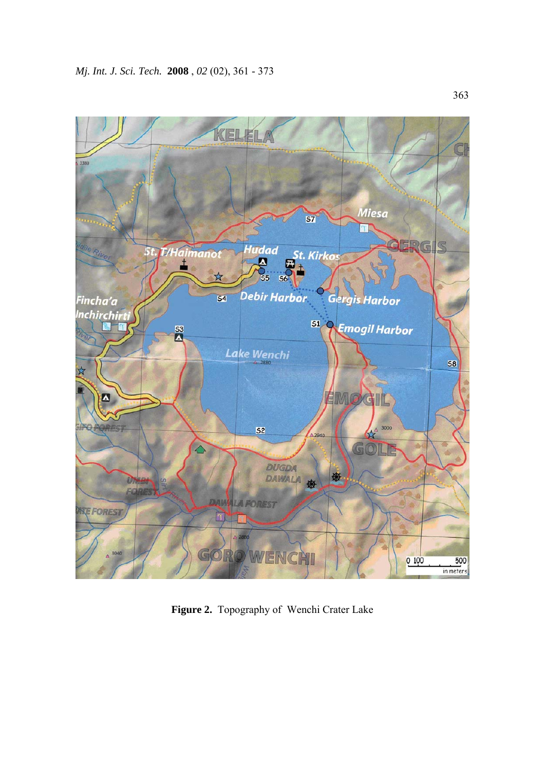

**Figure 2.** Topography of Wenchi Crater Lake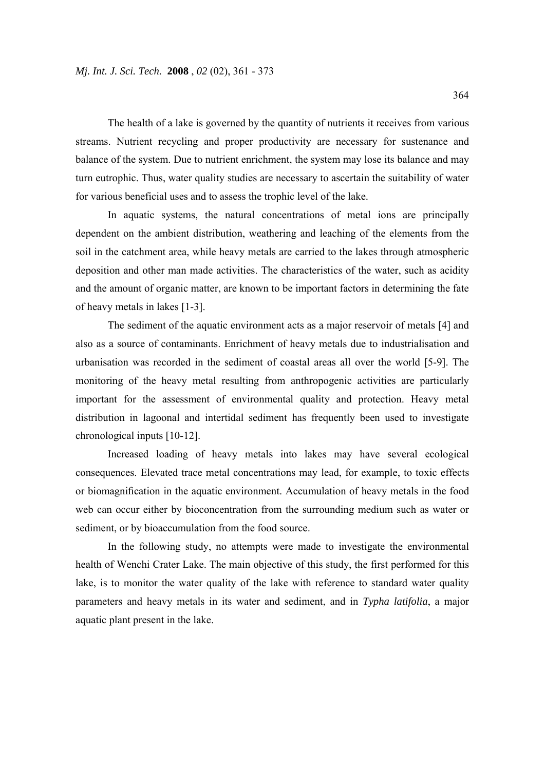The health of a lake is governed by the quantity of nutrients it receives from various streams. Nutrient recycling and proper productivity are necessary for sustenance and balance of the system. Due to nutrient enrichment, the system may lose its balance and may turn eutrophic. Thus, water quality studies are necessary to ascertain the suitability of water for various beneficial uses and to assess the trophic level of the lake.

In aquatic systems, the natural concentrations of metal ions are principally dependent on the ambient distribution, weathering and leaching of the elements from the soil in the catchment area, while heavy metals are carried to the lakes through atmospheric deposition and other man made activities. The characteristics of the water, such as acidity and the amount of organic matter, are known to be important factors in determining the fate of heavy metals in lakes [1-3].

The sediment of the aquatic environment acts as a major reservoir of metals [4] and also as a source of contaminants. Enrichment of heavy metals due to industrialisation and urbanisation was recorded in the sediment of coastal areas all over the world [5-9]. The monitoring of the heavy metal resulting from anthropogenic activities are particularly important for the assessment of environmental quality and protection. Heavy metal distribution in lagoonal and intertidal sediment has frequently been used to investigate chronological inputs [10-12].

Increased loading of heavy metals into lakes may have several ecological consequences. Elevated trace metal concentrations may lead, for example, to toxic effects or biomagnification in the aquatic environment. Accumulation of heavy metals in the food web can occur either by bioconcentration from the surrounding medium such as water or sediment, or by bioaccumulation from the food source.

 In the following study, no attempts were made to investigate the environmental health of Wenchi Crater Lake. The main objective of this study, the first performed for this lake, is to monitor the water quality of the lake with reference to standard water quality parameters and heavy metals in its water and sediment, and in *Typha latifolia*, a major aquatic plant present in the lake.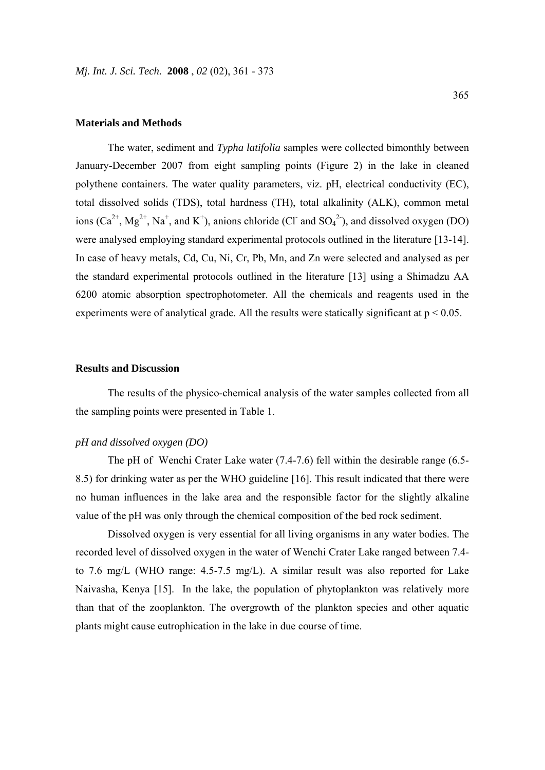#### **Materials and Methods**

The water, sediment and *Typha latifolia* samples were collected bimonthly between January-December 2007 from eight sampling points (Figure 2) in the lake in cleaned polythene containers. The water quality parameters, viz. pH, electrical conductivity (EC), total dissolved solids (TDS), total hardness (TH), total alkalinity (ALK), common metal ions  $(Ca^{2+}, Mg^{2+}, Na^+, and K^+),$  anions chloride (Cl<sup>-</sup> and SO<sub>4</sub><sup>2</sup>), and dissolved oxygen (DO) were analysed employing standard experimental protocols outlined in the literature [13-14]. In case of heavy metals, Cd, Cu, Ni, Cr, Pb, Mn, and Zn were selected and analysed as per the standard experimental protocols outlined in the literature [13] using a Shimadzu AA 6200 atomic absorption spectrophotometer. All the chemicals and reagents used in the experiments were of analytical grade. All the results were statically significant at  $p < 0.05$ .

# **Results and Discussion**

The results of the physico-chemical analysis of the water samples collected from all the sampling points were presented in Table 1.

### *pH and dissolved oxygen (DO)*

The pH of Wenchi Crater Lake water (7.4-7.6) fell within the desirable range (6.5- 8.5) for drinking water as per the WHO guideline [16]. This result indicated that there were no human influences in the lake area and the responsible factor for the slightly alkaline value of the pH was only through the chemical composition of the bed rock sediment.

 Dissolved oxygen is very essential for all living organisms in any water bodies. The recorded level of dissolved oxygen in the water of Wenchi Crater Lake ranged between 7.4 to 7.6 mg/L (WHO range: 4.5-7.5 mg/L). A similar result was also reported for Lake Naivasha, Kenya [15]. In the lake, the population of phytoplankton was relatively more than that of the zooplankton. The overgrowth of the plankton species and other aquatic plants might cause eutrophication in the lake in due course of time.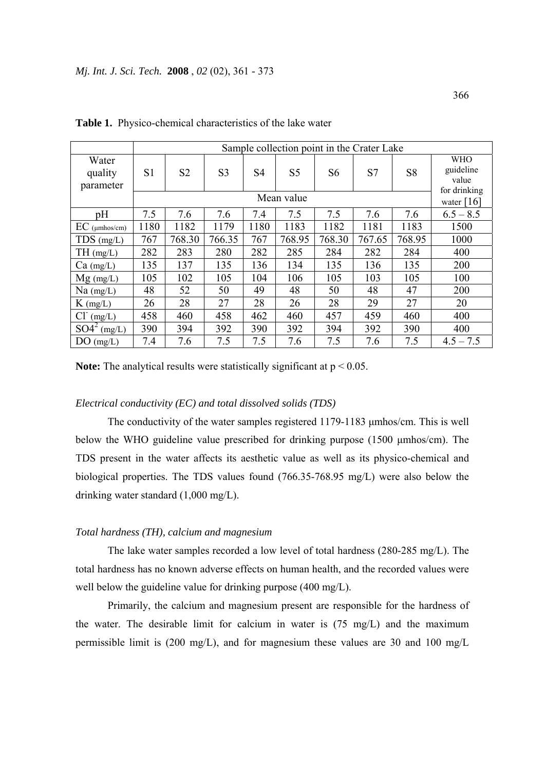|                               | Sample collection point in the Crater Lake |                |                |                |                |        |        |                |                                                  |
|-------------------------------|--------------------------------------------|----------------|----------------|----------------|----------------|--------|--------|----------------|--------------------------------------------------|
| Water<br>quality<br>parameter | S <sub>1</sub>                             | S <sub>2</sub> | S <sub>3</sub> | S <sub>4</sub> | S <sub>5</sub> | S6     | S7     | S <sub>8</sub> | <b>WHO</b><br>guideline<br>value<br>for drinking |
|                               | Mean value                                 |                |                |                |                |        |        |                | water $[16]$                                     |
| pH                            | 7.5                                        | 7.6            | 7.6            | 7.4            | 7.5            | 7.5    | 7.6    | 7.6            | $6.5 - 8.5$                                      |
| $EC$ ( $\mu$ mhos/cm)         | 1180                                       | 1182           | 1179           | 1180           | 1183           | 1182   | 1181   | 1183           | 1500                                             |
| $TDS$ (mg/L)                  | 767                                        | 768.30         | 766.35         | 767            | 768.95         | 768.30 | 767.65 | 768.95         | 1000                                             |
| TH(mg/L)                      | 282                                        | 283            | 280            | 282            | 285            | 284    | 282    | 284            | 400                                              |
| $Ca$ (mg/L)                   | 135                                        | 137            | 135            | 136            | 134            | 135    | 136    | 135            | 200                                              |
| $Mg$ (mg/L)                   | 105                                        | 102            | 105            | 104            | 106            | 105    | 103    | 105            | 100                                              |
| $Na$ (mg/L)                   | 48                                         | 52             | 50             | 49             | 48             | 50     | 48     | 47             | 200                                              |
| $K$ (mg/L)                    | 26                                         | 28             | 27             | 28             | 26             | 28     | 29     | 27             | 20                                               |
| $Cl- (mg/L)$                  | 458                                        | 460            | 458            | 462            | 460            | 457    | 459    | 460            | 400                                              |
| $SO4^2$<br>(mg/L)             | 390                                        | 394            | 392            | 390            | 392            | 394    | 392    | 390            | 400                                              |
| $DO$ (mg/L)                   | 7.4                                        | 7.6            | 7.5            | 7.5            | 7.6            | 7.5    | 7.6    | 7.5            | $4.5 - 7.5$                                      |

**Table 1.** Physico-chemical characteristics of the lake water

**Note:** The analytical results were statistically significant at  $p < 0.05$ .

# *Electrical conductivity (EC) and total dissolved solids (TDS)*

The conductivity of the water samples registered 1179-1183 μmhos/cm. This is well below the WHO guideline value prescribed for drinking purpose (1500 μmhos/cm). The TDS present in the water affects its aesthetic value as well as its physico-chemical and biological properties. The TDS values found (766.35-768.95 mg/L) were also below the drinking water standard (1,000 mg/L).

### *Total hardness (TH), calcium and magnesium*

The lake water samples recorded a low level of total hardness (280-285 mg/L). The total hardness has no known adverse effects on human health, and the recorded values were well below the guideline value for drinking purpose (400 mg/L).

Primarily, the calcium and magnesium present are responsible for the hardness of the water. The desirable limit for calcium in water is (75 mg/L) and the maximum permissible limit is (200 mg/L), and for magnesium these values are 30 and 100 mg/L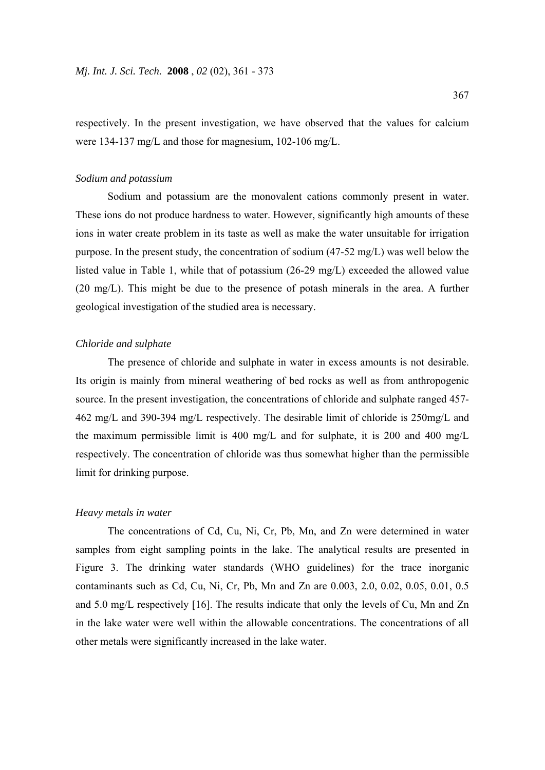respectively. In the present investigation, we have observed that the values for calcium were 134-137 mg/L and those for magnesium, 102-106 mg/L.

# *Sodium and potassium*

Sodium and potassium are the monovalent cations commonly present in water. These ions do not produce hardness to water. However, significantly high amounts of these ions in water create problem in its taste as well as make the water unsuitable for irrigation purpose. In the present study, the concentration of sodium (47-52 mg/L) was well below the listed value in Table 1, while that of potassium (26-29 mg/L) exceeded the allowed value (20 mg/L). This might be due to the presence of potash minerals in the area. A further geological investigation of the studied area is necessary.

# *Chloride and sulphate*

The presence of chloride and sulphate in water in excess amounts is not desirable. Its origin is mainly from mineral weathering of bed rocks as well as from anthropogenic source. In the present investigation, the concentrations of chloride and sulphate ranged 457- 462 mg/L and 390-394 mg/L respectively. The desirable limit of chloride is 250mg/L and the maximum permissible limit is 400 mg/L and for sulphate, it is 200 and 400 mg/L respectively. The concentration of chloride was thus somewhat higher than the permissible limit for drinking purpose.

#### *Heavy metals in water*

The concentrations of Cd, Cu, Ni, Cr, Pb, Mn, and Zn were determined in water samples from eight sampling points in the lake. The analytical results are presented in Figure 3. The drinking water standards (WHO guidelines) for the trace inorganic contaminants such as Cd, Cu, Ni, Cr, Pb, Mn and Zn are 0.003, 2.0, 0.02, 0.05, 0.01, 0.5 and 5.0 mg/L respectively [16]. The results indicate that only the levels of Cu, Mn and Zn in the lake water were well within the allowable concentrations. The concentrations of all other metals were significantly increased in the lake water.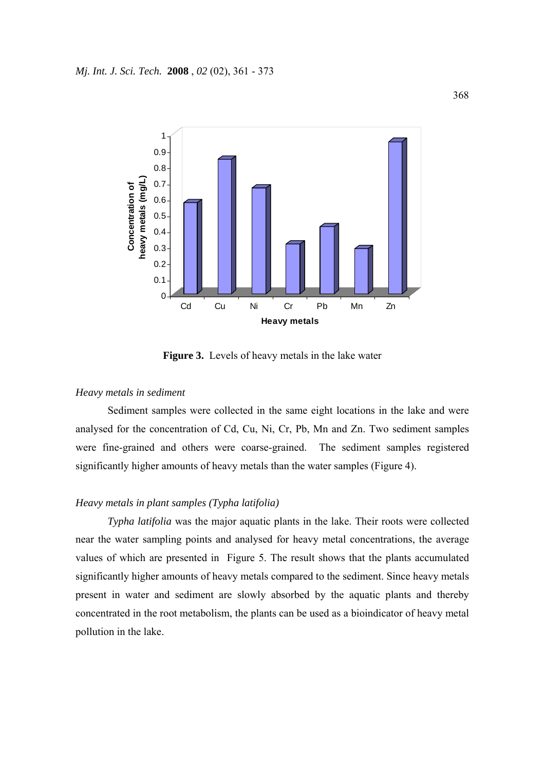

**Figure 3.** Levels of heavy metals in the lake water

#### *Heavy metals in sediment*

Sediment samples were collected in the same eight locations in the lake and were analysed for the concentration of Cd, Cu, Ni, Cr, Pb, Mn and Zn. Two sediment samples were fine-grained and others were coarse-grained. The sediment samples registered significantly higher amounts of heavy metals than the water samples (Figure 4).

# *Heavy metals in plant samples (Typha latifolia)*

*Typha latifolia* was the major aquatic plants in the lake. Their roots were collected near the water sampling points and analysed for heavy metal concentrations, the average values of which are presented in Figure 5. The result shows that the plants accumulated significantly higher amounts of heavy metals compared to the sediment. Since heavy metals present in water and sediment are slowly absorbed by the aquatic plants and thereby concentrated in the root metabolism, the plants can be used as a bioindicator of heavy metal pollution in the lake.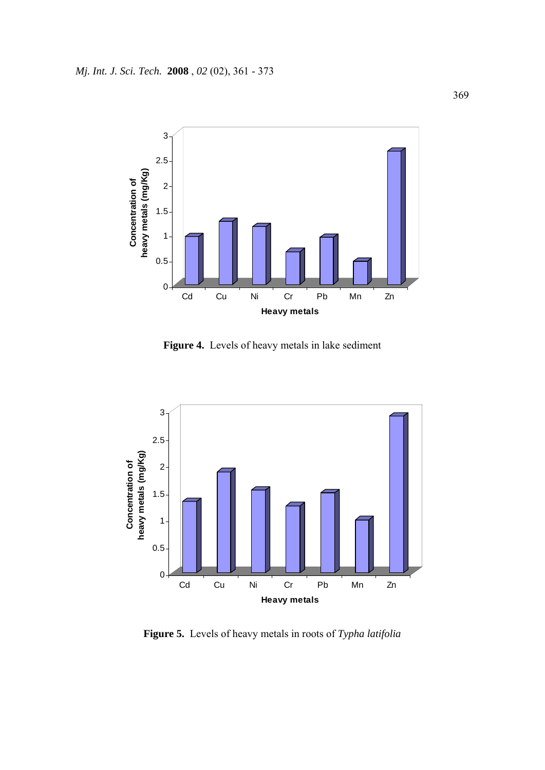

**Figure 4.** Levels of heavy metals in lake sediment



**Figure 5.** Levels of heavy metals in roots of *Typha latifolia*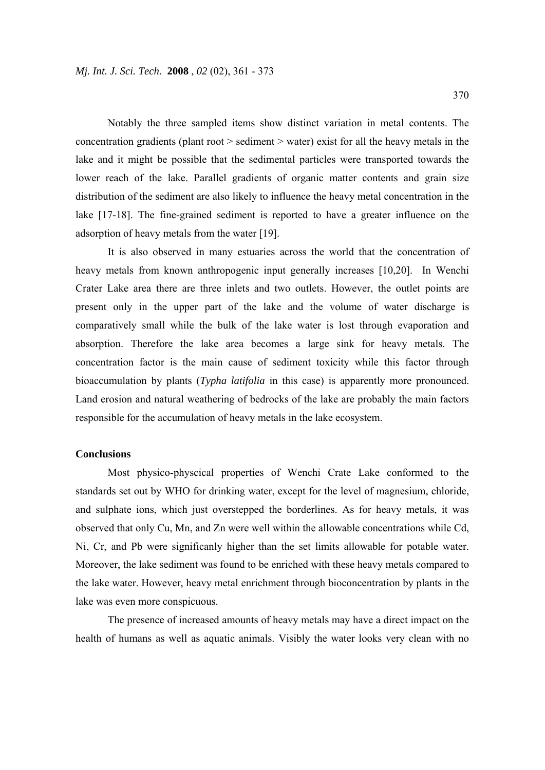Notably the three sampled items show distinct variation in metal contents. The concentration gradients (plant root > sediment > water) exist for all the heavy metals in the lake and it might be possible that the sedimental particles were transported towards the lower reach of the lake. Parallel gradients of organic matter contents and grain size distribution of the sediment are also likely to influence the heavy metal concentration in the lake [17-18]. The fine-grained sediment is reported to have a greater influence on the adsorption of heavy metals from the water [19].

It is also observed in many estuaries across the world that the concentration of heavy metals from known anthropogenic input generally increases [10,20]. In Wenchi Crater Lake area there are three inlets and two outlets. However, the outlet points are present only in the upper part of the lake and the volume of water discharge is comparatively small while the bulk of the lake water is lost through evaporation and absorption. Therefore the lake area becomes a large sink for heavy metals. The concentration factor is the main cause of sediment toxicity while this factor through bioaccumulation by plants (*Typha latifolia* in this case) is apparently more pronounced. Land erosion and natural weathering of bedrocks of the lake are probably the main factors responsible for the accumulation of heavy metals in the lake ecosystem.

### **Conclusions**

Most physico-physcical properties of Wenchi Crate Lake conformed to the standards set out by WHO for drinking water, except for the level of magnesium, chloride, and sulphate ions, which just overstepped the borderlines. As for heavy metals, it was observed that only Cu, Mn, and Zn were well within the allowable concentrations while Cd, Ni, Cr, and Pb were significanly higher than the set limits allowable for potable water. Moreover, the lake sediment was found to be enriched with these heavy metals compared to the lake water. However, heavy metal enrichment through bioconcentration by plants in the lake was even more conspicuous.

The presence of increased amounts of heavy metals may have a direct impact on the health of humans as well as aquatic animals. Visibly the water looks very clean with no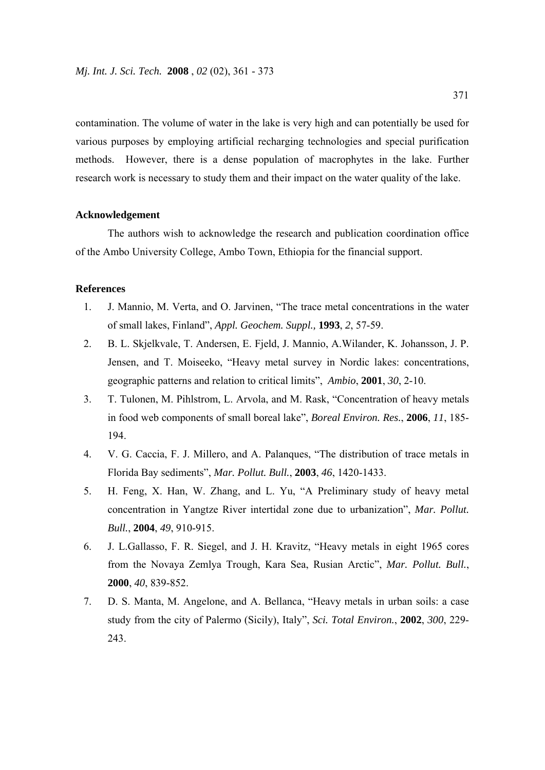contamination. The volume of water in the lake is very high and can potentially be used for various purposes by employing artificial recharging technologies and special purification methods. However, there is a dense population of macrophytes in the lake. Further research work is necessary to study them and their impact on the water quality of the lake.

# **Acknowledgement**

The authors wish to acknowledge the research and publication coordination office of the Ambo University College, Ambo Town, Ethiopia for the financial support.

# **References**

- 1. J. Mannio, M. Verta, and O. Jarvinen, "The trace metal concentrations in the water of small lakes, Finland", *Appl. Geochem. Suppl.,* **1993**, *2*, 57-59.
- 2. B. L. Skjelkvale, T. Andersen, E. Fjeld, J. Mannio, A.Wilander, K. Johansson, J. P. Jensen, and T. Moiseeko, "Heavy metal survey in Nordic lakes: concentrations, geographic patterns and relation to critical limits", *Ambio*, **2001**, *30*, 2-10.
- 3. T. Tulonen, M. Pihlstrom, L. Arvola, and M. Rask, "Concentration of heavy metals in food web components of small boreal lake", *Boreal Environ. Res.*, **2006**, *11*, 185- 194.
- 4. V. G. Caccia, F. J. Millero, and A. Palanques, "The distribution of trace metals in Florida Bay sediments", *Mar. Pollut. Bull.*, **2003**, *46*, 1420-1433.
- 5. H. Feng, X. Han, W. Zhang, and L. Yu, "A Preliminary study of heavy metal concentration in Yangtze River intertidal zone due to urbanization", *Mar. Pollut. Bull.*, **2004**, *49*, 910-915.
- 6. J. L.Gallasso, F. R. Siegel, and J. H. Kravitz, "Heavy metals in eight 1965 cores from the Novaya Zemlya Trough, Kara Sea, Rusian Arctic", *Mar. Pollut. Bull.*, **2000**, *40*, 839-852.
- 7. D. S. Manta, M. Angelone, and A. Bellanca, "Heavy metals in urban soils: a case study from the city of Palermo (Sicily), Italy", *Sci. Total Environ.*, **2002**, *300*, 229- 243.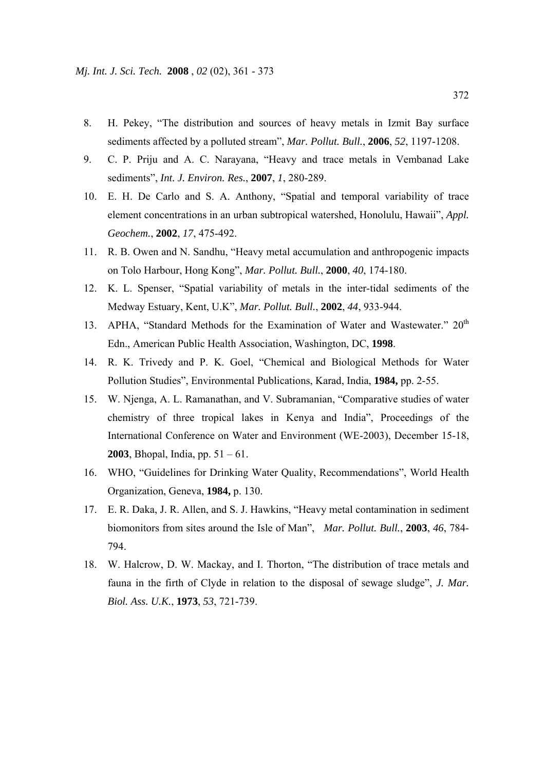- 8. H. Pekey, "The distribution and sources of heavy metals in Izmit Bay surface sediments affected by a polluted stream", *Mar. Pollut. Bull.*, **2006**, *52*, 1197-1208.
- 9. C. P. Priju and A. C. Narayana, "Heavy and trace metals in Vembanad Lake sediments", *Int. J. Environ. Res.*, **2007**, *1*, 280-289.
- 10. E. H. De Carlo and S. A. Anthony, "Spatial and temporal variability of trace element concentrations in an urban subtropical watershed, Honolulu, Hawaii", *Appl. Geochem.*, **2002**, *17*, 475-492.
- 11. R. B. Owen and N. Sandhu, "Heavy metal accumulation and anthropogenic impacts on Tolo Harbour, Hong Kong", *Mar. Pollut. Bull.*, **2000**, *40*, 174-180.
- 12. K. L. Spenser, "Spatial variability of metals in the inter-tidal sediments of the Medway Estuary, Kent, U.K", *Mar. Pollut. Bull.*, **2002**, *44*, 933-944.
- 13. APHA, "Standard Methods for the Examination of Water and Wastewater." 20<sup>th</sup> Edn., American Public Health Association, Washington, DC, **1998**.
- 14. R. K. Trivedy and P. K. Goel, "Chemical and Biological Methods for Water Pollution Studies", Environmental Publications, Karad, India, **1984,** pp. 2-55.
- 15. W. Njenga, A. L. Ramanathan, and V. Subramanian, "Comparative studies of water chemistry of three tropical lakes in Kenya and India", Proceedings of the International Conference on Water and Environment (WE-2003), December 15-18, **2003**, Bhopal, India, pp. 51 – 61.
- 16. WHO, "Guidelines for Drinking Water Quality, Recommendations", World Health Organization, Geneva, **1984,** p. 130.
- 17. E. R. Daka, J. R. Allen, and S. J. Hawkins, "Heavy metal contamination in sediment biomonitors from sites around the Isle of Man", *Mar. Pollut. Bull.*, **2003**, *46*, 784- 794.
- 18. W. Halcrow, D. W. Mackay, and I. Thorton, "The distribution of trace metals and fauna in the firth of Clyde in relation to the disposal of sewage sludge", *J. Mar. Biol. Ass. U.K.*, **1973**, *53*, 721-739.